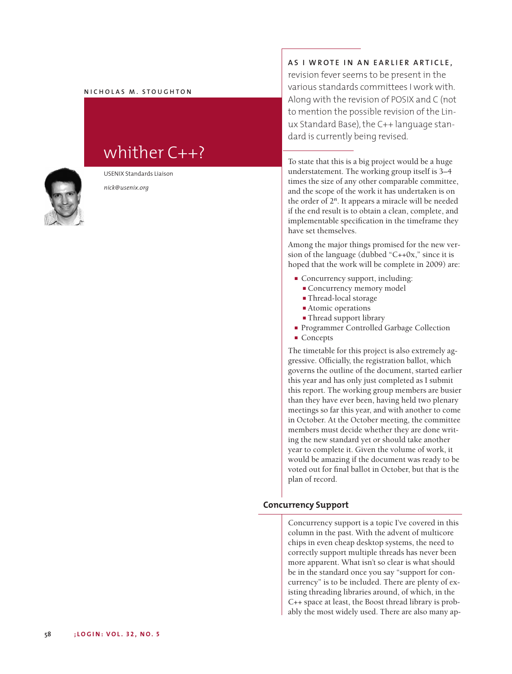## $M$  **N ICHOLAS M** . STOUGHTON

# whither C++?



USENIX Standards Liaison

*nick@usenix.org*

# AS I WROTE IN AN EARLIER ARTICLE,

revision fever seems to be present in the various standards committees I work with. Along with the revision of POSIX and C (not to mention the possible revision of the Linux Standard Base), the C++ language standard is currently being revised.

To state that this is a big project would be a huge understatement. The working group itself is 3–4 times the size of any other comparable committee, and the scope of the work it has undertaken is on the order of 2*n*. It appears a miracle will be needed if the end result is to obtain a clean, complete, and implementable specification in the timeframe they have set themselves.

Among the major things promised for the new version of the language (dubbed "C++0x," since it is hoped that the work will be complete in 2009) are:

- **■** Concurrency support, including:
	- **■** Concurrency memory model
	- **■** Thread-local storage
	- Atomic operations
	- **■** Thread support library
- Programmer Controlled Garbage Collection
- **■** Concepts

The timetable for this project is also extremely aggressive. Officially, the registration ballot, which governs the outline of the document, started earlier this year and has only just completed as I submit this report. The working group members are busier than they have ever been, having held two plenary meetings so far this year, and with another to come in October. At the October meeting, the committee members must decide whether they are done writing the new standard yet or should take another year to complete it. Given the volume of work, it would be amazing if the document was ready to be voted out for final ballot in October, but that is the plan of record.

## **Concurrency Support**

Concurrency support is a topic I've covered in this column in the past. With the advent of multicore chips in even cheap desktop systems, the need to correctly support multiple threads has never been more apparent. What isn't so clear is what should be in the standard once you say "support for concurrency" is to be included. There are plenty of existing threading libraries around, of which, in the C++ space at least, the Boost thread library is probably the most widely used. There are also many ap-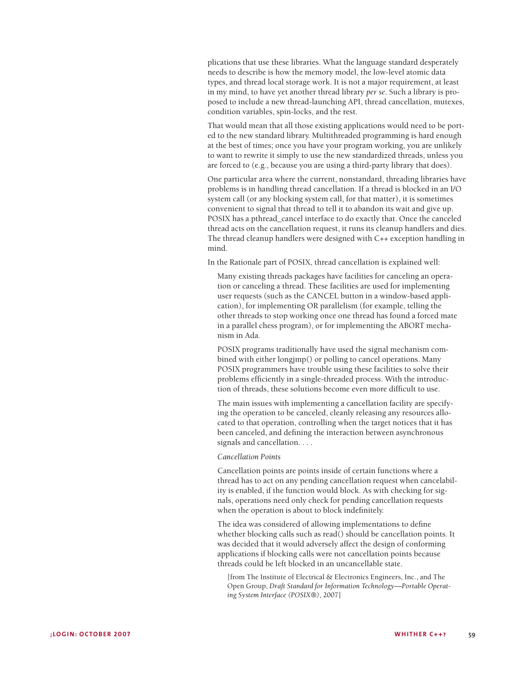plications that use these libraries. What the language standard desperately needs to describe is how the memory model, the low-level atomic data types, and thread local storage work. It is not a major requirement, at least in my mind, to have yet another thread library *per se*. Such a library is proposed to include a new thread-launching API, thread cancellation, mutexes, condition variables, spin-locks, and the rest.

That would mean that all those existing applications would need to be ported to the new standard library. Multithreaded programming is hard enough at the best of times; once you have your program working, you are unlikely to want to rewrite it simply to use the new standardized threads, unless you are forced to (e.g., because you are using a third-party library that does).

One particular area where the current, nonstandard, threading libraries have problems is in handling thread cancellation. If a thread is blocked in an I/O system call (or any blocking system call, for that matter), it is sometimes convenient to signal that thread to tell it to abandon its wait and give up. POSIX has a pthread\_cancel interface to do exactly that. Once the canceled thread acts on the cancellation request, it runs its cleanup handlers and dies. The thread cleanup handlers were designed with C++ exception handling in mind.

In the Rationale part of POSIX, thread cancellation is explained well:

Many existing threads packages have facilities for canceling an operation or canceling a thread. These facilities are used for implementing user requests (such as the CANCEL button in a window-based application), for implementing OR parallelism (for example, telling the other threads to stop working once one thread has found a forced mate in a parallel chess program), or for implementing the ABORT mechanism in Ada.

POSIX programs traditionally have used the signal mechanism combined with either longjmp() or polling to cancel operations. Many POSIX programmers have trouble using these facilities to solve their problems efficiently in a single-threaded process. With the introduction of threads, these solutions become even more difficult to use.

The main issues with implementing a cancellation facility are specifying the operation to be canceled, cleanly releasing any resources allocated to that operation, controlling when the target notices that it has been canceled, and defining the interaction between asynchronous signals and cancellation. . . .

#### *Cancellation Points*

Cancellation points are points inside of certain functions where a thread has to act on any pending cancellation request when cancelability is enabled, if the function would block. As with checking for signals, operations need only check for pending cancellation requests when the operation is about to block indefinitely.

The idea was considered of allowing implementations to define whether blocking calls such as read() should be cancellation points. It was decided that it would adversely affect the design of conforming applications if blocking calls were not cancellation points because threads could be left blocked in an uncancellable state.

[from The Institute of Electrical & Electronics Engineers, Inc., and The Open Group, *Draft Standard for Information Technology—Portable Operating System Interface (POSIX®)*, 2007]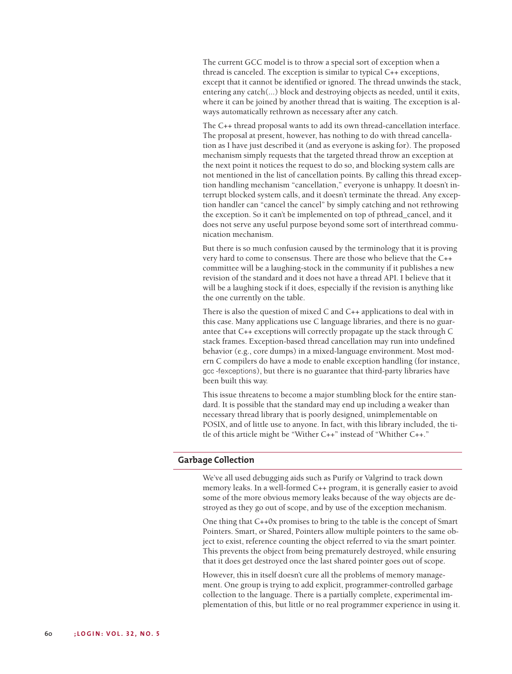The current GCC model is to throw a special sort of exception when a thread is canceled. The exception is similar to typical C++ exceptions, except that it cannot be identified or ignored. The thread unwinds the stack, entering any catch(...) block and destroying objects as needed, until it exits, where it can be joined by another thread that is waiting. The exception is always automatically rethrown as necessary after any catch.

The C++ thread proposal wants to add its own thread-cancellation interface. The proposal at present, however, has nothing to do with thread cancellation as I have just described it (and as everyone is asking for). The proposed mechanism simply requests that the targeted thread throw an exception at the next point it notices the request to do so, and blocking system calls are not mentioned in the list of cancellation points. By calling this thread exception handling mechanism "cancellation," everyone is unhappy. It doesn't interrupt blocked system calls, and it doesn't terminate the thread. Any exception handler can "cancel the cancel" by simply catching and not rethrowing the exception. So it can't be implemented on top of pthread\_cancel, and it does not serve any useful purpose beyond some sort of interthread communication mechanism.

But there is so much confusion caused by the terminology that it is proving very hard to come to consensus. There are those who believe that the C++ committee will be a laughing-stock in the community if it publishes a new revision of the standard and it does not have a thread API. I believe that it will be a laughing stock if it does, especially if the revision is anything like the one currently on the table.

There is also the question of mixed C and C++ applications to deal with in this case. Many applications use C language libraries, and there is no guarantee that C++ exceptions will correctly propagate up the stack through C stack frames. Exception-based thread cancellation may run into undefined behavior (e.g., core dumps) in a mixed-language environment. Most modern C compilers do have a mode to enable exception handling (for instance, gcc -fexceptions), but there is no guarantee that third-party libraries have been built this way.

This issue threatens to become a major stumbling block for the entire standard. It is possible that the standard may end up including a weaker than necessary thread library that is poorly designed, unimplementable on POSIX, and of little use to anyone. In fact, with this library included, the title of this article might be "Wither C++" instead of "Whither C++."

#### **Garbage Collection**

We've all used debugging aids such as Purify or Valgrind to track down memory leaks. In a well-formed C++ program, it is generally easier to avoid some of the more obvious memory leaks because of the way objects are destroyed as they go out of scope, and by use of the exception mechanism.

One thing that C++0x promises to bring to the table is the concept of Smart Pointers. Smart, or Shared, Pointers allow multiple pointers to the same object to exist, reference counting the object referred to via the smart pointer. This prevents the object from being prematurely destroyed, while ensuring that it does get destroyed once the last shared pointer goes out of scope.

However, this in itself doesn't cure all the problems of memory management. One group is trying to add explicit, programmer-controlled garbage collection to the language. There is a partially complete, experimental implementation of this, but little or no real programmer experience in using it.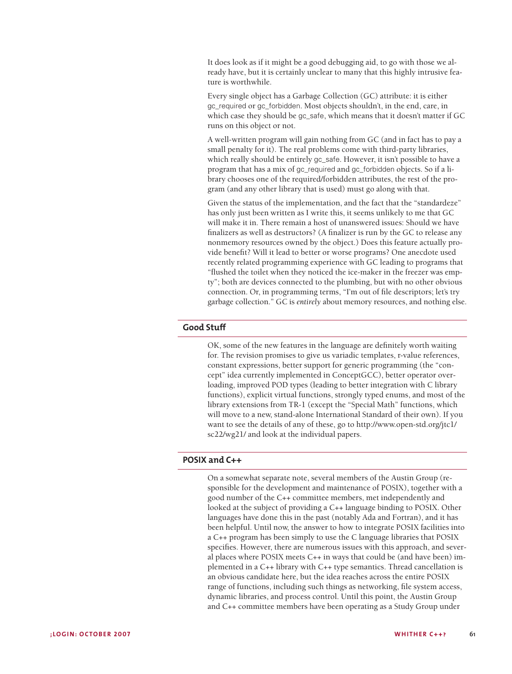It does look as if it might be a good debugging aid, to go with those we already have, but it is certainly unclear to many that this highly intrusive feature is worthwhile.

Every single object has a Garbage Collection (GC) attribute: it is either gc\_required or gc\_forbidden. Most objects shouldn't, in the end, care, in which case they should be gc\_safe, which means that it doesn't matter if GC runs on this object or not.

A well-written program will gain nothing from GC (and in fact has to pay a small penalty for it). The real problems come with third-party libraries, which really should be entirely gc\_safe. However, it isn't possible to have a program that has a mix of gc\_required and gc\_forbidden objects. So if a library chooses one of the required/forbidden attributes, the rest of the program (and any other library that is used) must go along with that.

Given the status of the implementation, and the fact that the "standardeze" has only just been written as I write this, it seems unlikely to me that GC will make it in. There remain a host of unanswered issues: Should we have finalizers as well as destructors? (A finalizer is run by the GC to release any nonmemory resources owned by the object.) Does this feature actually provide benefit? Will it lead to better or worse programs? One anecdote used recently related programming experience with GC leading to programs that "flushed the toilet when they noticed the ice-maker in the freezer was empty"; both are devices connected to the plumbing, but with no other obvious connection. Or, in programming terms, "I'm out of file descriptors; let's try garbage collection." GC is *entirely* about memory resources, and nothing else.

## **Good Stuff**

OK, some of the new features in the language are definitely worth waiting for. The revision promises to give us variadic templates, r-value references, constant expressions, better support for generic programming (the "concept" idea currently implemented in ConceptGCC), better operator overloading, improved POD types (leading to better integration with C library functions), explicit virtual functions, strongly typed enums, and most of the library extensions from TR-1 (except the "Special Math" functions, which will move to a new, stand-alone International Standard of their own). If you want to see the details of any of these, go to http://www.open-std.org/jtc1/ sc22/wg21/ and look at the individual papers.

## **POSIX and C++**

On a somewhat separate note, several members of the Austin Group (responsible for the development and maintenance of POSIX), together with a good number of the C++ committee members, met independently and looked at the subject of providing a C++ language binding to POSIX. Other languages have done this in the past (notably Ada and Fortran), and it has been helpful. Until now, the answer to how to integrate POSIX facilities into a C++ program has been simply to use the C language libraries that POSIX specifies. However, there are numerous issues with this approach, and several places where POSIX meets C++ in ways that could be (and have been) implemented in a C++ library with C++ type semantics. Thread cancellation is an obvious candidate here, but the idea reaches across the entire POSIX range of functions, including such things as networking, file system access, dynamic libraries, and process control. Until this point, the Austin Group and C++ committee members have been operating as a Study Group under